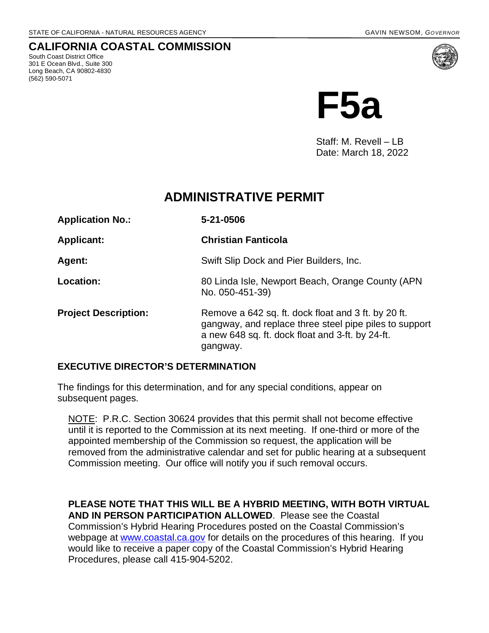## **CALIFORNIA COASTAL COMMISSION**

South Coast District Office 301 E Ocean Blvd., Suite 300 Long Beach, CA 90802-4830 (562) 590-5071



Staff: M. Revell – LB Date: March 18, 2022

# **ADMINISTRATIVE PERMIT**

| <b>Application No.:</b>     | 5-21-0506                                                                                                                                                                     |
|-----------------------------|-------------------------------------------------------------------------------------------------------------------------------------------------------------------------------|
| <b>Applicant:</b>           | <b>Christian Fanticola</b>                                                                                                                                                    |
| <b>Agent:</b>               | Swift Slip Dock and Pier Builders, Inc.                                                                                                                                       |
| Location:                   | 80 Linda Isle, Newport Beach, Orange County (APN<br>No. 050-451-39)                                                                                                           |
| <b>Project Description:</b> | Remove a 642 sq. ft. dock float and 3 ft. by 20 ft.<br>gangway, and replace three steel pipe piles to support<br>a new 648 sq. ft. dock float and 3-ft. by 24-ft.<br>gangway. |

#### **EXECUTIVE DIRECTOR'S DETERMINATION**

The findings for this determination, and for any special conditions, appear on subsequent pages.

NOTE: P.R.C. Section 30624 provides that this permit shall not become effective until it is reported to the Commission at its next meeting. If one-third or more of the appointed membership of the Commission so request, the application will be removed from the administrative calendar and set for public hearing at a subsequent Commission meeting. Our office will notify you if such removal occurs.

**PLEASE NOTE THAT THIS WILL BE A HYBRID MEETING, WITH BOTH VIRTUAL AND IN PERSON PARTICIPATION ALLOWED**. Please see the Coastal Commission's Hybrid Hearing Procedures posted on the Coastal Commission's webpage at [www.coastal.ca.gov](http://www.coastal.ca.gov/) for details on the procedures of this hearing. If you would like to receive a paper copy of the Coastal Commission's Hybrid Hearing Procedures, please call 415-904-5202.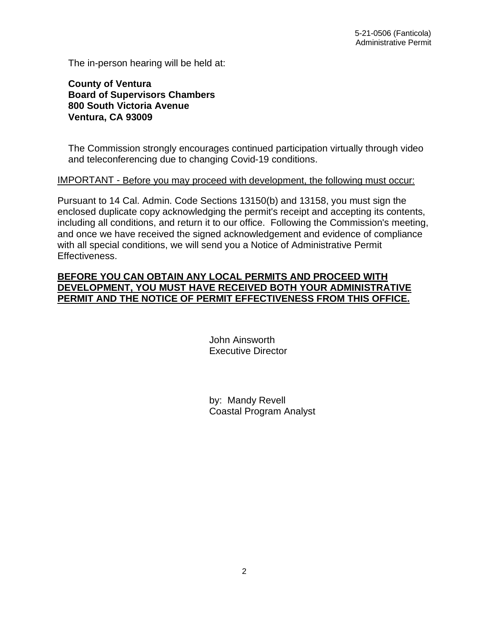The in-person hearing will be held at:

**County of Ventura Board of Supervisors Chambers 800 South Victoria Avenue Ventura, CA 93009**

The Commission strongly encourages continued participation virtually through video and teleconferencing due to changing Covid-19 conditions.

#### IMPORTANT - Before you may proceed with development, the following must occur:

Pursuant to 14 Cal. Admin. Code Sections 13150(b) and 13158, you must sign the enclosed duplicate copy acknowledging the permit's receipt and accepting its contents, including all conditions, and return it to our office. Following the Commission's meeting, and once we have received the signed acknowledgement and evidence of compliance with all special conditions, we will send you a Notice of Administrative Permit Effectiveness.

### **BEFORE YOU CAN OBTAIN ANY LOCAL PERMITS AND PROCEED WITH DEVELOPMENT, YOU MUST HAVE RECEIVED BOTH YOUR ADMINISTRATIVE PERMIT AND THE NOTICE OF PERMIT EFFECTIVENESS FROM THIS OFFICE.**

 John Ainsworth Executive Director

 by: Mandy Revell Coastal Program Analyst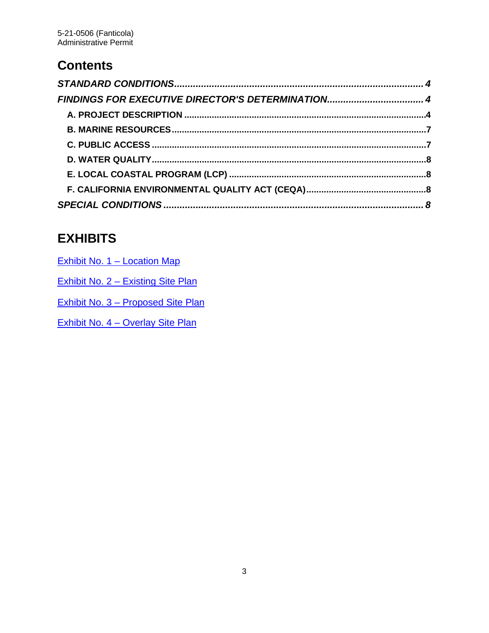# **Contents**

| FINDINGS FOR EXECUTIVE DIRECTOR'S DETERMINATION 4 |  |
|---------------------------------------------------|--|
|                                                   |  |
|                                                   |  |
|                                                   |  |
|                                                   |  |
|                                                   |  |
|                                                   |  |
|                                                   |  |

# **EXHIBITS**

| Exhibit No. 1 - Location Map              |
|-------------------------------------------|
| Exhibit No. 2 – Existing Site Plan        |
| <b>Exhibit No. 3 – Proposed Site Plan</b> |
| <b>Exhibit No. 4 - Overlay Site Plan</b>  |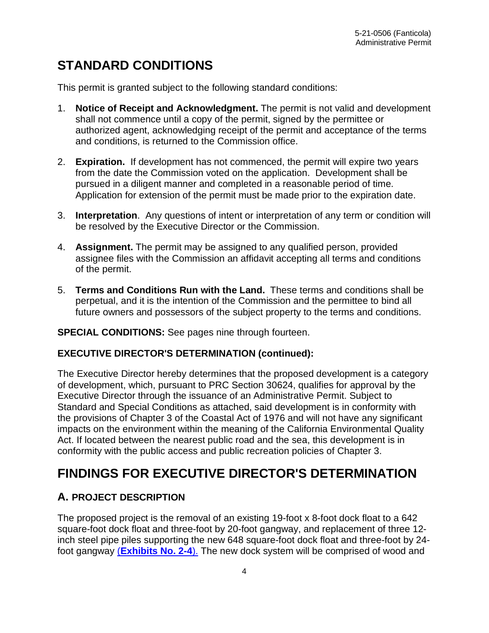# <span id="page-3-0"></span>**STANDARD CONDITIONS**

This permit is granted subject to the following standard conditions:

- 1. **Notice of Receipt and Acknowledgment.** The permit is not valid and development shall not commence until a copy of the permit, signed by the permittee or authorized agent, acknowledging receipt of the permit and acceptance of the terms and conditions, is returned to the Commission office.
- 2. **Expiration.** If development has not commenced, the permit will expire two years from the date the Commission voted on the application. Development shall be pursued in a diligent manner and completed in a reasonable period of time. Application for extension of the permit must be made prior to the expiration date.
- 3. **Interpretation**. Any questions of intent or interpretation of any term or condition will be resolved by the Executive Director or the Commission.
- 4. **Assignment.** The permit may be assigned to any qualified person, provided assignee files with the Commission an affidavit accepting all terms and conditions of the permit.
- 5. **Terms and Conditions Run with the Land.** These terms and conditions shall be perpetual, and it is the intention of the Commission and the permittee to bind all future owners and possessors of the subject property to the terms and conditions.

#### **SPECIAL CONDITIONS:** See pages nine through fourteen.

#### **EXECUTIVE DIRECTOR'S DETERMINATION (continued):**

The Executive Director hereby determines that the proposed development is a category of development, which, pursuant to PRC Section 30624, qualifies for approval by the Executive Director through the issuance of an Administrative Permit. Subject to Standard and Special Conditions as attached, said development is in conformity with the provisions of Chapter 3 of the Coastal Act of 1976 and will not have any significant impacts on the environment within the meaning of the California Environmental Quality Act. If located between the nearest public road and the sea, this development is in conformity with the public access and public recreation policies of Chapter 3.

# <span id="page-3-1"></span>**FINDINGS FOR EXECUTIVE DIRECTOR'S DETERMINATION**

# <span id="page-3-2"></span>**A. PROJECT DESCRIPTION**

The proposed project is the removal of an existing 19-foot x 8-foot dock float to a 642 square-foot dock float and three-foot by 20-foot gangway, and replacement of three 12 inch steel pipe piles supporting the new 648 square-foot dock float and three-foot by 24 foot gangway (**[Exhibits No. 2-4](https://documents.coastal.ca.gov/reports/2022/4/F5a/F5a-4-2022-exhibits.pdf)**). The new dock system will be comprised of wood and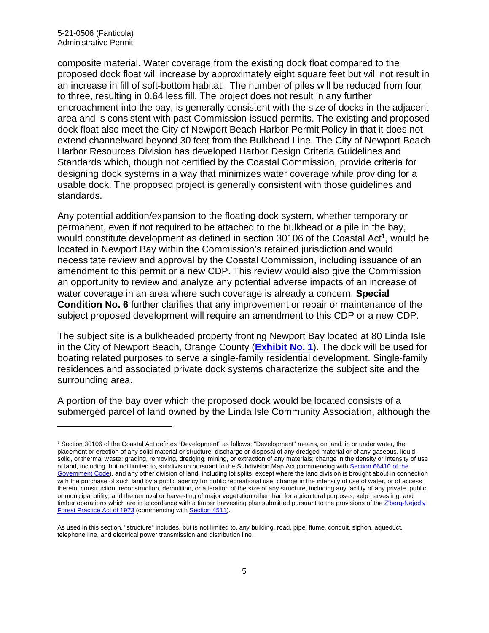composite material. Water coverage from the existing dock float compared to the proposed dock float will increase by approximately eight square feet but will not result in an increase in fill of soft-bottom habitat. The number of piles will be reduced from four to three, resulting in 0.64 less fill. The project does not result in any further encroachment into the bay, is generally consistent with the size of docks in the adjacent area and is consistent with past Commission-issued permits. The existing and proposed dock float also meet the City of Newport Beach Harbor Permit Policy in that it does not extend channelward beyond 30 feet from the Bulkhead Line. The City of Newport Beach Harbor Resources Division has developed Harbor Design Criteria Guidelines and Standards which, though not certified by the Coastal Commission, provide criteria for designing dock systems in a way that minimizes water coverage while providing for a usable dock. The proposed project is generally consistent with those guidelines and standards.

Any potential addition/expansion to the floating dock system, whether temporary or permanent, even if not required to be attached to the bulkhead or a pile in the bay, would constitute development as defined in section 30[1](#page-4-0)06 of the Coastal Act<sup>1</sup>, would be located in Newport Bay within the Commission's retained jurisdiction and would necessitate review and approval by the Coastal Commission, including issuance of an amendment to this permit or a new CDP. This review would also give the Commission an opportunity to review and analyze any potential adverse impacts of an increase of water coverage in an area where such coverage is already a concern. **Special Condition No. 6** further clarifies that any improvement or repair or maintenance of the subject proposed development will require an amendment to this CDP or a new CDP.

The subject site is a bulkheaded property fronting Newport Bay located at 80 Linda Isle in the City of Newport Beach, Orange County (**[Exhibit No. 1](https://documents.coastal.ca.gov/reports/2022/4/F5a/F5a-4-2022-exhibits.pdf)**). The dock will be used for boating related purposes to serve a single-family residential development. Single-family residences and associated private dock systems characterize the subject site and the surrounding area.

A portion of the bay over which the proposed dock would be located consists of a submerged parcel of land owned by the Linda Isle Community Association, although the

<span id="page-4-0"></span><sup>1</sup> Section 30106 of the Coastal Act defines "Development" as follows: "Development" means, on land, in or under water, the placement or erection of any solid material or structure; discharge or disposal of any dredged material or of any gaseous, liquid, solid, or thermal waste; grading, removing, dredging, mining, or extraction of any materials; change in the density or intensity of use of land, including, but not limited to, subdivision pursuant to the Subdivision Map Act (commencing with Section 66410 of the [Government Code\),](http://leginfo.legislature.ca.gov/faces/codes_displayexpandedbranch.xhtml?tocCode=GOV&division=2.&title=7.&part=&chapter=&article=) and any other division of land, including lot splits, except where the land division is brought about in connection with the purchase of such land by a public agency for public recreational use; change in the intensity of use of water, or of access thereto; construction, reconstruction, demolition, or alteration of the size of any structure, including any facility of any private, public, or municipal utility; and the removal or harvesting of major vegetation other than for agricultural purposes, kelp harvesting, and timber operations which are in accordance with a timber harvesting plan submitted pursuant to the provisions of the Z'berg-Nejedly [Forest Practice Act of 1973](http://leginfo.legislature.ca.gov/faces/codes_displayexpandedbranch.xhtml?tocCode=PRC&division=4.&title=&part=2.&chapter=8.&article=) (commencing wit[h Section 4511\)](http://leginfo.legislature.ca.gov/faces/codes_displayexpandedbranch.xhtml?tocCode=PRC&division=4.&title=&part=2.&chapter=8.&article=).

As used in this section, "structure" includes, but is not limited to, any building, road, pipe, flume, conduit, siphon, aqueduct, telephone line, and electrical power transmission and distribution line.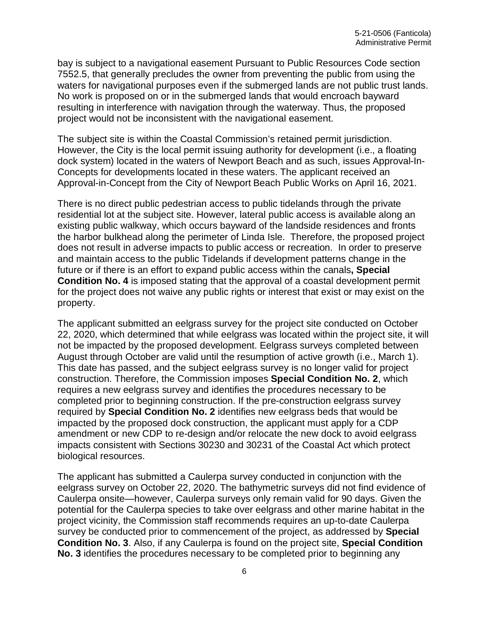bay is subject to a navigational easement Pursuant to Public Resources Code section 7552.5, that generally precludes the owner from preventing the public from using the waters for navigational purposes even if the submerged lands are not public trust lands. No work is proposed on or in the submerged lands that would encroach bayward resulting in interference with navigation through the waterway. Thus, the proposed project would not be inconsistent with the navigational easement.

The subject site is within the Coastal Commission's retained permit jurisdiction. However, the City is the local permit issuing authority for development (i.e., a floating dock system) located in the waters of Newport Beach and as such, issues Approval-In-Concepts for developments located in these waters. The applicant received an Approval-in-Concept from the City of Newport Beach Public Works on April 16, 2021.

There is no direct public pedestrian access to public tidelands through the private residential lot at the subject site. However, lateral public access is available along an existing public walkway, which occurs bayward of the landside residences and fronts the harbor bulkhead along the perimeter of Linda Isle. Therefore, the proposed project does not result in adverse impacts to public access or recreation. In order to preserve and maintain access to the public Tidelands if development patterns change in the future or if there is an effort to expand public access within the canals**, Special Condition No. 4** is imposed stating that the approval of a coastal development permit for the project does not waive any public rights or interest that exist or may exist on the property.

The applicant submitted an eelgrass survey for the project site conducted on October 22, 2020, which determined that while eelgrass was located within the project site, it will not be impacted by the proposed development. Eelgrass surveys completed between August through October are valid until the resumption of active growth (i.e., March 1). This date has passed, and the subject eelgrass survey is no longer valid for project construction. Therefore, the Commission imposes **Special Condition No. 2**, which requires a new eelgrass survey and identifies the procedures necessary to be completed prior to beginning construction. If the pre-construction eelgrass survey required by **Special Condition No. 2** identifies new eelgrass beds that would be impacted by the proposed dock construction, the applicant must apply for a CDP amendment or new CDP to re-design and/or relocate the new dock to avoid eelgrass impacts consistent with Sections 30230 and 30231 of the Coastal Act which protect biological resources.

The applicant has submitted a Caulerpa survey conducted in conjunction with the eelgrass survey on October 22, 2020. The bathymetric surveys did not find evidence of Caulerpa onsite—however, Caulerpa surveys only remain valid for 90 days. Given the potential for the Caulerpa species to take over eelgrass and other marine habitat in the project vicinity, the Commission staff recommends requires an up-to-date Caulerpa survey be conducted prior to commencement of the project, as addressed by **Special Condition No. 3**. Also, if any Caulerpa is found on the project site, **Special Condition No. 3** identifies the procedures necessary to be completed prior to beginning any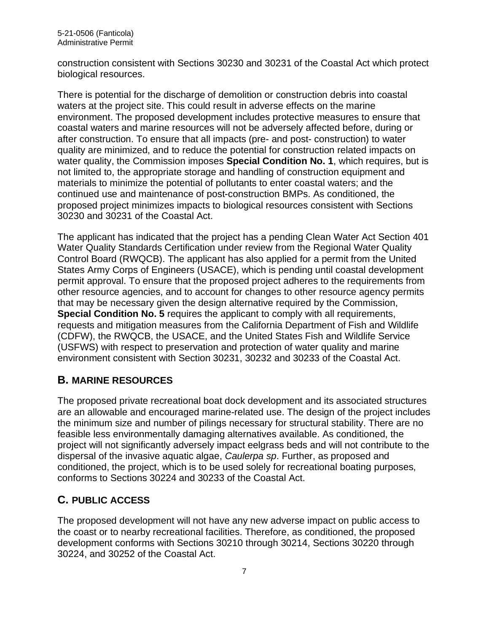construction consistent with Sections 30230 and 30231 of the Coastal Act which protect biological resources.

There is potential for the discharge of demolition or construction debris into coastal waters at the project site. This could result in adverse effects on the marine environment. The proposed development includes protective measures to ensure that coastal waters and marine resources will not be adversely affected before, during or after construction. To ensure that all impacts (pre- and post- construction) to water quality are minimized, and to reduce the potential for construction related impacts on water quality, the Commission imposes **Special Condition No. 1**, which requires, but is not limited to, the appropriate storage and handling of construction equipment and materials to minimize the potential of pollutants to enter coastal waters; and the continued use and maintenance of post-construction BMPs. As conditioned, the proposed project minimizes impacts to biological resources consistent with Sections 30230 and 30231 of the Coastal Act.

The applicant has indicated that the project has a pending Clean Water Act Section 401 Water Quality Standards Certification under review from the Regional Water Quality Control Board (RWQCB). The applicant has also applied for a permit from the United States Army Corps of Engineers (USACE), which is pending until coastal development permit approval. To ensure that the proposed project adheres to the requirements from other resource agencies, and to account for changes to other resource agency permits that may be necessary given the design alternative required by the Commission, **Special Condition No. 5** requires the applicant to comply with all requirements, requests and mitigation measures from the California Department of Fish and Wildlife (CDFW), the RWQCB, the USACE, and the United States Fish and Wildlife Service (USFWS) with respect to preservation and protection of water quality and marine environment consistent with Section 30231, 30232 and 30233 of the Coastal Act.

# <span id="page-6-0"></span>**B. MARINE RESOURCES**

The proposed private recreational boat dock development and its associated structures are an allowable and encouraged marine-related use. The design of the project includes the minimum size and number of pilings necessary for structural stability. There are no feasible less environmentally damaging alternatives available. As conditioned, the project will not significantly adversely impact eelgrass beds and will not contribute to the dispersal of the invasive aquatic algae, *Caulerpa sp*. Further, as proposed and conditioned, the project, which is to be used solely for recreational boating purposes, conforms to Sections 30224 and 30233 of the Coastal Act.

# <span id="page-6-1"></span>**C. PUBLIC ACCESS**

The proposed development will not have any new adverse impact on public access to the coast or to nearby recreational facilities. Therefore, as conditioned, the proposed development conforms with Sections 30210 through 30214, Sections 30220 through 30224, and 30252 of the Coastal Act.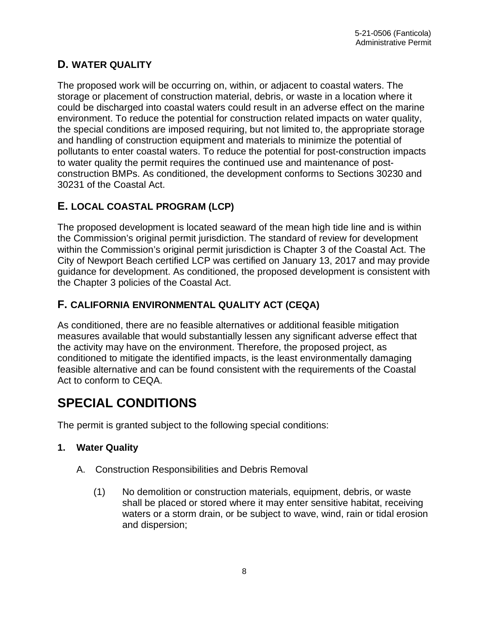# <span id="page-7-0"></span>**D. WATER QUALITY**

The proposed work will be occurring on, within, or adjacent to coastal waters. The storage or placement of construction material, debris, or waste in a location where it could be discharged into coastal waters could result in an adverse effect on the marine environment. To reduce the potential for construction related impacts on water quality, the special conditions are imposed requiring, but not limited to, the appropriate storage and handling of construction equipment and materials to minimize the potential of pollutants to enter coastal waters. To reduce the potential for post-construction impacts to water quality the permit requires the continued use and maintenance of postconstruction BMPs. As conditioned, the development conforms to Sections 30230 and 30231 of the Coastal Act.

# <span id="page-7-1"></span>**E. LOCAL COASTAL PROGRAM (LCP)**

The proposed development is located seaward of the mean high tide line and is within the Commission's original permit jurisdiction. The standard of review for development within the Commission's original permit jurisdiction is Chapter 3 of the Coastal Act. The City of Newport Beach certified LCP was certified on January 13, 2017 and may provide guidance for development. As conditioned, the proposed development is consistent with the Chapter 3 policies of the Coastal Act.

# <span id="page-7-2"></span>**F. CALIFORNIA ENVIRONMENTAL QUALITY ACT (CEQA)**

As conditioned, there are no feasible alternatives or additional feasible mitigation measures available that would substantially lessen any significant adverse effect that the activity may have on the environment. Therefore, the proposed project, as conditioned to mitigate the identified impacts, is the least environmentally damaging feasible alternative and can be found consistent with the requirements of the Coastal Act to conform to CEQA.

# <span id="page-7-3"></span>**SPECIAL CONDITIONS**

The permit is granted subject to the following special conditions:

## **1. Water Quality**

- A. Construction Responsibilities and Debris Removal
	- (1) No demolition or construction materials, equipment, debris, or waste shall be placed or stored where it may enter sensitive habitat, receiving waters or a storm drain, or be subject to wave, wind, rain or tidal erosion and dispersion;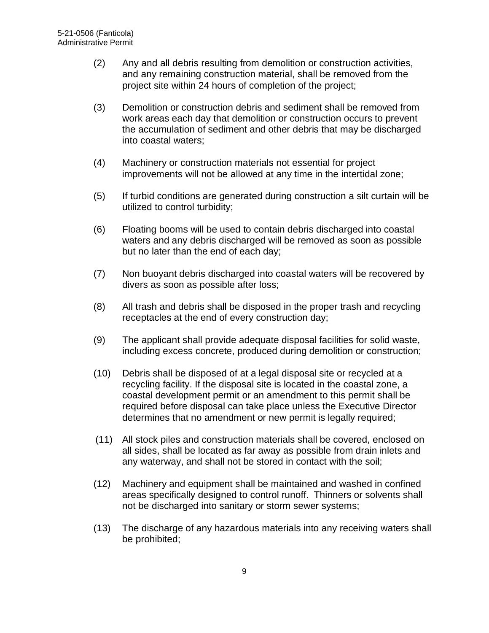- (2) Any and all debris resulting from demolition or construction activities, and any remaining construction material, shall be removed from the project site within 24 hours of completion of the project;
- (3) Demolition or construction debris and sediment shall be removed from work areas each day that demolition or construction occurs to prevent the accumulation of sediment and other debris that may be discharged into coastal waters;
- (4) Machinery or construction materials not essential for project improvements will not be allowed at any time in the intertidal zone;
- (5) If turbid conditions are generated during construction a silt curtain will be utilized to control turbidity;
- (6) Floating booms will be used to contain debris discharged into coastal waters and any debris discharged will be removed as soon as possible but no later than the end of each day;
- (7) Non buoyant debris discharged into coastal waters will be recovered by divers as soon as possible after loss;
- (8) All trash and debris shall be disposed in the proper trash and recycling receptacles at the end of every construction day;
- (9) The applicant shall provide adequate disposal facilities for solid waste, including excess concrete, produced during demolition or construction;
- (10) Debris shall be disposed of at a legal disposal site or recycled at a recycling facility. If the disposal site is located in the coastal zone, a coastal development permit or an amendment to this permit shall be required before disposal can take place unless the Executive Director determines that no amendment or new permit is legally required;
- (11) All stock piles and construction materials shall be covered, enclosed on all sides, shall be located as far away as possible from drain inlets and any waterway, and shall not be stored in contact with the soil;
- (12) Machinery and equipment shall be maintained and washed in confined areas specifically designed to control runoff. Thinners or solvents shall not be discharged into sanitary or storm sewer systems;
- (13) The discharge of any hazardous materials into any receiving waters shall be prohibited;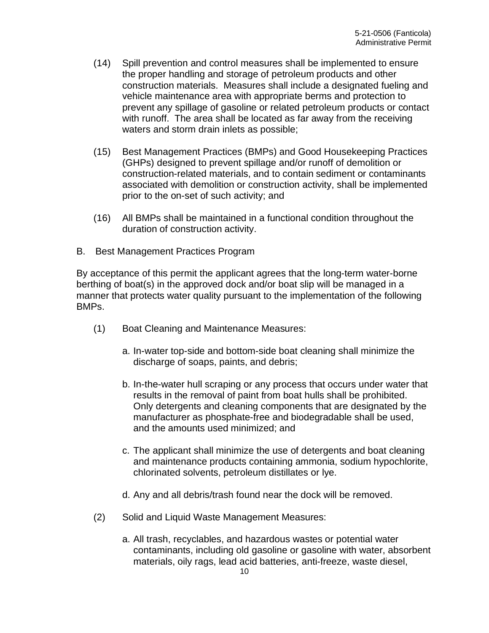- (14) Spill prevention and control measures shall be implemented to ensure the proper handling and storage of petroleum products and other construction materials. Measures shall include a designated fueling and vehicle maintenance area with appropriate berms and protection to prevent any spillage of gasoline or related petroleum products or contact with runoff. The area shall be located as far away from the receiving waters and storm drain inlets as possible;
- (15) Best Management Practices (BMPs) and Good Housekeeping Practices (GHPs) designed to prevent spillage and/or runoff of demolition or construction-related materials, and to contain sediment or contaminants associated with demolition or construction activity, shall be implemented prior to the on-set of such activity; and
- (16) All BMPs shall be maintained in a functional condition throughout the duration of construction activity.
- B. Best Management Practices Program

By acceptance of this permit the applicant agrees that the long-term water-borne berthing of boat(s) in the approved dock and/or boat slip will be managed in a manner that protects water quality pursuant to the implementation of the following BMPs.

- (1) Boat Cleaning and Maintenance Measures:
	- a. In-water top-side and bottom-side boat cleaning shall minimize the discharge of soaps, paints, and debris;
	- b. In-the-water hull scraping or any process that occurs under water that results in the removal of paint from boat hulls shall be prohibited. Only detergents and cleaning components that are designated by the manufacturer as phosphate-free and biodegradable shall be used, and the amounts used minimized; and
	- c. The applicant shall minimize the use of detergents and boat cleaning and maintenance products containing ammonia, sodium hypochlorite, chlorinated solvents, petroleum distillates or lye.
	- d. Any and all debris/trash found near the dock will be removed.
- (2) Solid and Liquid Waste Management Measures:
	- a. All trash, recyclables, and hazardous wastes or potential water contaminants, including old gasoline or gasoline with water, absorbent materials, oily rags, lead acid batteries, anti-freeze, waste diesel,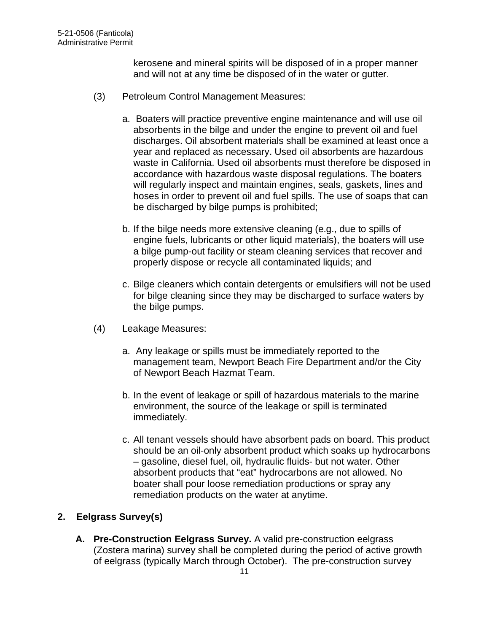kerosene and mineral spirits will be disposed of in a proper manner and will not at any time be disposed of in the water or gutter.

- (3) Petroleum Control Management Measures:
	- a. Boaters will practice preventive engine maintenance and will use oil absorbents in the bilge and under the engine to prevent oil and fuel discharges. Oil absorbent materials shall be examined at least once a year and replaced as necessary. Used oil absorbents are hazardous waste in California. Used oil absorbents must therefore be disposed in accordance with hazardous waste disposal regulations. The boaters will regularly inspect and maintain engines, seals, gaskets, lines and hoses in order to prevent oil and fuel spills. The use of soaps that can be discharged by bilge pumps is prohibited;
	- b. If the bilge needs more extensive cleaning (e.g., due to spills of engine fuels, lubricants or other liquid materials), the boaters will use a bilge pump-out facility or steam cleaning services that recover and properly dispose or recycle all contaminated liquids; and
	- c. Bilge cleaners which contain detergents or emulsifiers will not be used for bilge cleaning since they may be discharged to surface waters by the bilge pumps.
- (4) Leakage Measures:
	- a. Any leakage or spills must be immediately reported to the management team, Newport Beach Fire Department and/or the City of Newport Beach Hazmat Team.
	- b. In the event of leakage or spill of hazardous materials to the marine environment, the source of the leakage or spill is terminated immediately.
	- c. All tenant vessels should have absorbent pads on board. This product should be an oil-only absorbent product which soaks up hydrocarbons – gasoline, diesel fuel, oil, hydraulic fluids- but not water. Other absorbent products that "eat" hydrocarbons are not allowed. No boater shall pour loose remediation productions or spray any remediation products on the water at anytime.

## **2. Eelgrass Survey(s)**

**A. Pre-Construction Eelgrass Survey.** A valid pre-construction eelgrass (Zostera marina) survey shall be completed during the period of active growth of eelgrass (typically March through October). The pre-construction survey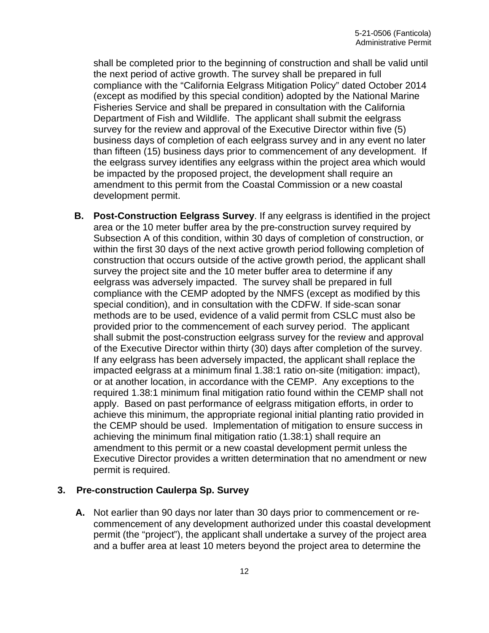shall be completed prior to the beginning of construction and shall be valid until the next period of active growth. The survey shall be prepared in full compliance with the "California Eelgrass Mitigation Policy" dated October 2014 (except as modified by this special condition) adopted by the National Marine Fisheries Service and shall be prepared in consultation with the California Department of Fish and Wildlife. The applicant shall submit the eelgrass survey for the review and approval of the Executive Director within five (5) business days of completion of each eelgrass survey and in any event no later than fifteen (15) business days prior to commencement of any development. If the eelgrass survey identifies any eelgrass within the project area which would be impacted by the proposed project, the development shall require an amendment to this permit from the Coastal Commission or a new coastal development permit.

**B. Post-Construction Eelgrass Survey**. If any eelgrass is identified in the project area or the 10 meter buffer area by the pre-construction survey required by Subsection A of this condition, within 30 days of completion of construction, or within the first 30 days of the next active growth period following completion of construction that occurs outside of the active growth period, the applicant shall survey the project site and the 10 meter buffer area to determine if any eelgrass was adversely impacted. The survey shall be prepared in full compliance with the CEMP adopted by the NMFS (except as modified by this special condition), and in consultation with the CDFW. If side-scan sonar methods are to be used, evidence of a valid permit from CSLC must also be provided prior to the commencement of each survey period. The applicant shall submit the post-construction eelgrass survey for the review and approval of the Executive Director within thirty (30) days after completion of the survey. If any eelgrass has been adversely impacted, the applicant shall replace the impacted eelgrass at a minimum final 1.38:1 ratio on-site (mitigation: impact), or at another location, in accordance with the CEMP. Any exceptions to the required 1.38:1 minimum final mitigation ratio found within the CEMP shall not apply. Based on past performance of eelgrass mitigation efforts, in order to achieve this minimum, the appropriate regional initial planting ratio provided in the CEMP should be used. Implementation of mitigation to ensure success in achieving the minimum final mitigation ratio (1.38:1) shall require an amendment to this permit or a new coastal development permit unless the Executive Director provides a written determination that no amendment or new permit is required.

#### **3. Pre-construction Caulerpa Sp. Survey**

**A.** Not earlier than 90 days nor later than 30 days prior to commencement or recommencement of any development authorized under this coastal development permit (the "project"), the applicant shall undertake a survey of the project area and a buffer area at least 10 meters beyond the project area to determine the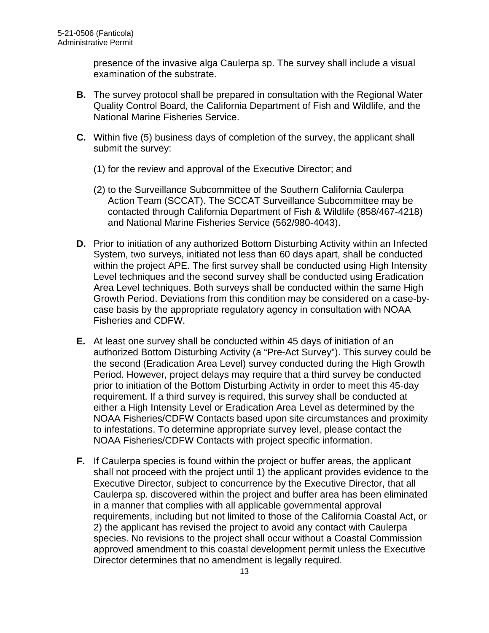presence of the invasive alga Caulerpa sp. The survey shall include a visual examination of the substrate.

- **B.** The survey protocol shall be prepared in consultation with the Regional Water Quality Control Board, the California Department of Fish and Wildlife, and the National Marine Fisheries Service.
- **C.** Within five (5) business days of completion of the survey, the applicant shall submit the survey:
	- (1) for the review and approval of the Executive Director; and
	- (2) to the Surveillance Subcommittee of the Southern California Caulerpa Action Team (SCCAT). The SCCAT Surveillance Subcommittee may be contacted through California Department of Fish & Wildlife (858/467-4218) and National Marine Fisheries Service (562/980-4043).
- **D.** Prior to initiation of any authorized Bottom Disturbing Activity within an Infected System, two surveys, initiated not less than 60 days apart, shall be conducted within the project APE. The first survey shall be conducted using High Intensity Level techniques and the second survey shall be conducted using Eradication Area Level techniques. Both surveys shall be conducted within the same High Growth Period. Deviations from this condition may be considered on a case-bycase basis by the appropriate regulatory agency in consultation with NOAA Fisheries and CDFW.
- **E.** At least one survey shall be conducted within 45 days of initiation of an authorized Bottom Disturbing Activity (a "Pre-Act Survey"). This survey could be the second (Eradication Area Level) survey conducted during the High Growth Period. However, project delays may require that a third survey be conducted prior to initiation of the Bottom Disturbing Activity in order to meet this 45-day requirement. If a third survey is required, this survey shall be conducted at either a High Intensity Level or Eradication Area Level as determined by the NOAA Fisheries/CDFW Contacts based upon site circumstances and proximity to infestations. To determine appropriate survey level, please contact the NOAA Fisheries/CDFW Contacts with project specific information.
- **F.** If Caulerpa species is found within the project or buffer areas, the applicant shall not proceed with the project until 1) the applicant provides evidence to the Executive Director, subject to concurrence by the Executive Director, that all Caulerpa sp. discovered within the project and buffer area has been eliminated in a manner that complies with all applicable governmental approval requirements, including but not limited to those of the California Coastal Act, or 2) the applicant has revised the project to avoid any contact with Caulerpa species. No revisions to the project shall occur without a Coastal Commission approved amendment to this coastal development permit unless the Executive Director determines that no amendment is legally required.